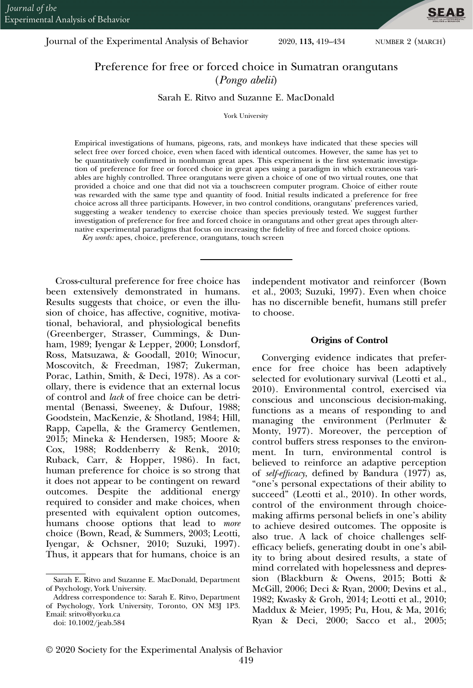Journal of the Experimental Analysis of Behavior 2020, 113, 419-434 NUMBER 2 (MARCH)

**SEAB** 

# Preference for free or forced choice in Sumatran orangutans (Pongo abelii)

Sarah E. Ritvo and Suzanne E. MacDonald

York University

Empirical investigations of humans, pigeons, rats, and monkeys have indicated that these species will select free over forced choice, even when faced with identical outcomes. However, the same has yet to be quantitatively confirmed in nonhuman great apes. This experiment is the first systematic investigation of preference for free or forced choice in great apes using a paradigm in which extraneous variables are highly controlled. Three orangutans were given a choice of one of two virtual routes, one that provided a choice and one that did not via a touchscreen computer program. Choice of either route was rewarded with the same type and quantity of food. Initial results indicated a preference for free choice across all three participants. However, in two control conditions, orangutans' preferences varied, suggesting a weaker tendency to exercise choice than species previously tested. We suggest further investigation of preference for free and forced choice in orangutans and other great apes through alternative experimental paradigms that focus on increasing the fidelity of free and forced choice options.

Key words: apes, choice, preference, orangutans, touch screen

Cross-cultural preference for free choice has been extensively demonstrated in humans. Results suggests that choice, or even the illusion of choice, has affective, cognitive, motivational, behavioral, and physiological benefits (Greenberger, Strasser, Cummings, & Dunham, 1989; Iyengar & Lepper, 2000; Lonsdorf, Ross, Matsuzawa, & Goodall, 2010; Winocur, Moscovitch, & Freedman, 1987; Zukerman, Porac, Lathin, Smith, & Deci, 1978). As a corollary, there is evidence that an external locus of control and lack of free choice can be detrimental (Benassi, Sweeney, & Dufour, 1988; Goodstein, MacKenzie, & Shotland, 1984; Hill, Rapp, Capella, & the Gramercy Gentlemen, 2015; Mineka & Hendersen, 1985; Moore & Cox, 1988; Roddenberry & Renk, 2010; Ruback, Carr, & Hopper, 1986). In fact, human preference for choice is so strong that it does not appear to be contingent on reward outcomes. Despite the additional energy required to consider and make choices, when presented with equivalent option outcomes, humans choose options that lead to more choice (Bown, Read, & Summers, 2003; Leotti, Iyengar, & Ochsner, 2010; Suzuki, 1997). Thus, it appears that for humans, choice is an

independent motivator and reinforcer (Bown et al., 2003; Suzuki, 1997). Even when choice has no discernible benefit, humans still prefer to choose.

### Origins of Control

Converging evidence indicates that preference for free choice has been adaptively selected for evolutionary survival (Leotti et al., 2010). Environmental control, exercised via conscious and unconscious decision-making, functions as a means of responding to and managing the environment (Perlmuter & Monty, 1977). Moreover, the perception of control buffers stress responses to the environment. In turn, environmental control is believed to reinforce an adaptive perception of self-efficacy, defined by Bandura (1977) as, "one's personal expectations of their ability to succeed" (Leotti et al., 2010). In other words, control of the environment through choicemaking affirms personal beliefs in one's ability to achieve desired outcomes. The opposite is also true. A lack of choice challenges selfefficacy beliefs, generating doubt in one's ability to bring about desired results, a state of mind correlated with hopelessness and depression (Blackburn & Owens, 2015; Botti & McGill, 2006; Deci & Ryan, 2000; Devins et al., 1982; Kwasky & Groh, 2014; Leotti et al., 2010; Maddux & Meier, 1995; Pu, Hou, & Ma, 2016; Ryan & Deci, 2000; Sacco et al., 2005;

Sarah E. Ritvo and Suzanne E. MacDonald, Department of Psychology, York University.

Address correspondence to: Sarah E. Ritvo, Department of Psychology, York University, Toronto, ON M3J 1P3. Email: sritvo@yorku.ca

doi: 10.1002/jeab.584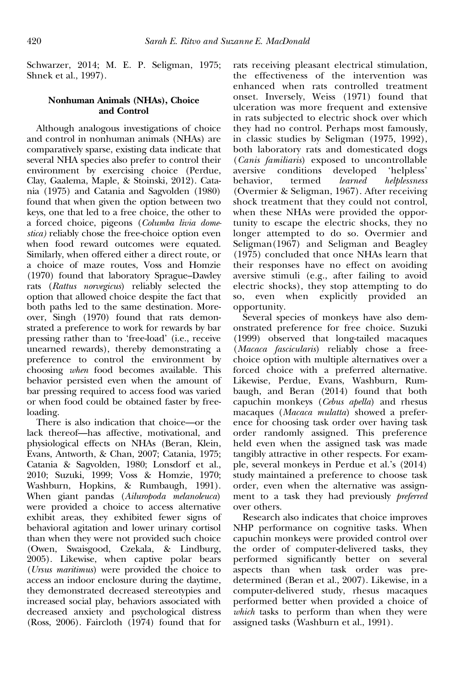Schwarzer, 2014; M. E. P. Seligman, 1975; Shnek et al., 1997).

### Nonhuman Animals (NHAs), Choice and Control

Although analogous investigations of choice and control in nonhuman animals (NHAs) are comparatively sparse, existing data indicate that several NHA species also prefer to control their environment by exercising choice (Perdue, Clay, Gaalema, Maple, & Stoinski, 2012). Catania (1975) and Catania and Sagvolden (1980) found that when given the option between two keys, one that led to a free choice, the other to a forced choice, pigeons (Columba livia domestica) reliably chose the free-choice option even when food reward outcomes were equated. Similarly, when offered either a direct route, or a choice of maze routes, Voss and Homzie (1970) found that laboratory Sprague–Dawley rats (Rattus norvegicus) reliably selected the option that allowed choice despite the fact that both paths led to the same destination. Moreover, Singh (1970) found that rats demonstrated a preference to work for rewards by bar pressing rather than to 'free-load' (i.e., receive unearned rewards), thereby demonstrating a preference to control the environment by choosing when food becomes available. This behavior persisted even when the amount of bar pressing required to access food was varied or when food could be obtained faster by freeloading.

There is also indication that choice—or the lack thereof—has affective, motivational, and physiological effects on NHAs (Beran, Klein, Evans, Antworth, & Chan, 2007; Catania, 1975; Catania & Sagvolden, 1980; Lonsdorf et al., 2010; Suzuki, 1999; Voss & Homzie, 1970; Washburn, Hopkins, & Rumbaugh, 1991). When giant pandas (Ailuropoda melanoleuca) were provided a choice to access alternative exhibit areas, they exhibited fewer signs of behavioral agitation and lower urinary cortisol than when they were not provided such choice (Owen, Swaisgood, Czekala, & Lindburg, 2005). Likewise, when captive polar bears (Ursus maritimus) were provided the choice to access an indoor enclosure during the daytime, they demonstrated decreased stereotypies and increased social play, behaviors associated with decreased anxiety and psychological distress (Ross, 2006). Faircloth (1974) found that for

rats receiving pleasant electrical stimulation, the effectiveness of the intervention was enhanced when rats controlled treatment onset. Inversely, Weiss (1971) found that ulceration was more frequent and extensive in rats subjected to electric shock over which they had no control. Perhaps most famously, in classic studies by Seligman (1975, 1992), both laboratory rats and domesticated dogs (Canis familiaris) exposed to uncontrollable aversive conditions developed 'helpless' behavior, termed learned helplessness (Overmier & Seligman, 1967). After receiving shock treatment that they could not control, when these NHAs were provided the opportunity to escape the electric shocks, they no longer attempted to do so. Overmier and Seligman(1967) and Seligman and Beagley (1975) concluded that once NHAs learn that their responses have no effect on avoiding aversive stimuli (e.g., after failing to avoid electric shocks), they stop attempting to do so, even when explicitly provided an opportunity.

Several species of monkeys have also demonstrated preference for free choice. Suzuki (1999) observed that long-tailed macaques (Macaca fascicularis) reliably chose a freechoice option with multiple alternatives over a forced choice with a preferred alternative. Likewise, Perdue, Evans, Washburn, Rumbaugh, and Beran (2014) found that both capuchin monkeys (Cebus apella) and rhesus macaques (Macaca mulatta) showed a preference for choosing task order over having task order randomly assigned. This preference held even when the assigned task was made tangibly attractive in other respects. For example, several monkeys in Perdue et al.'s (2014) study maintained a preference to choose task order, even when the alternative was assignment to a task they had previously *preferred* over others.

Research also indicates that choice improves NHP performance on cognitive tasks. When capuchin monkeys were provided control over the order of computer-delivered tasks, they performed significantly better on several aspects than when task order was predetermined (Beran et al., 2007). Likewise, in a computer-delivered study, rhesus macaques performed better when provided a choice of which tasks to perform than when they were assigned tasks (Washburn et al., 1991).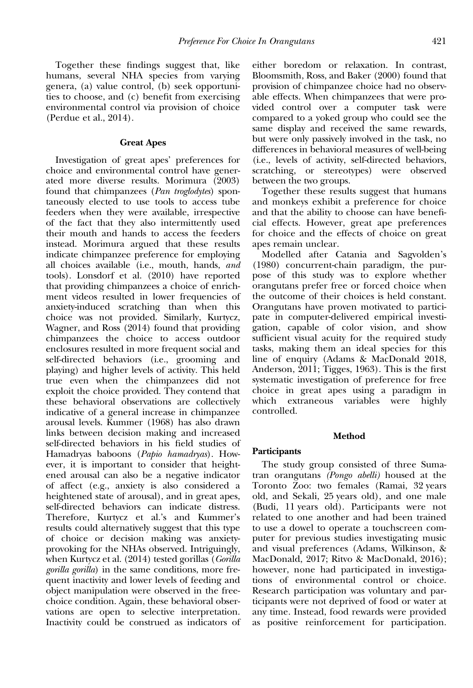Together these findings suggest that, like humans, several NHA species from varying genera, (a) value control, (b) seek opportunities to choose, and (c) benefit from exercising environmental control via provision of choice (Perdue et al., 2014).

#### Great Apes

Investigation of great apes' preferences for choice and environmental control have generated more diverse results. Morimura (2003) found that chimpanzees (*Pan troglodytes*) spontaneously elected to use tools to access tube feeders when they were available, irrespective of the fact that they also intermittently used their mouth and hands to access the feeders instead. Morimura argued that these results indicate chimpanzee preference for employing all choices available (i.e., mouth, hands, and tools). Lonsdorf et al. (2010) have reported that providing chimpanzees a choice of enrichment videos resulted in lower frequencies of anxiety-induced scratching than when this choice was not provided. Similarly, Kurtycz, Wagner, and Ross (2014) found that providing chimpanzees the choice to access outdoor enclosures resulted in more frequent social and self-directed behaviors (i.e., grooming and playing) and higher levels of activity. This held true even when the chimpanzees did not exploit the choice provided. They contend that these behavioral observations are collectively indicative of a general increase in chimpanzee arousal levels. Kummer (1968) has also drawn links between decision making and increased self-directed behaviors in his field studies of Hamadryas baboons (Papio hamadryas). However, it is important to consider that heightened arousal can also be a negative indicator of affect (e.g., anxiety is also considered a heightened state of arousal), and in great apes, self-directed behaviors can indicate distress. Therefore, Kurtycz et al.'s and Kummer's results could alternatively suggest that this type of choice or decision making was anxietyprovoking for the NHAs observed. Intriguingly, when Kurtycz et al. (2014) tested gorillas (Gorilla gorilla gorilla) in the same conditions, more frequent inactivity and lower levels of feeding and object manipulation were observed in the freechoice condition. Again, these behavioral observations are open to selective interpretation. Inactivity could be construed as indicators of

either boredom or relaxation. In contrast, Bloomsmith, Ross, and Baker (2000) found that provision of chimpanzee choice had no observable effects. When chimpanzees that were provided control over a computer task were compared to a yoked group who could see the same display and received the same rewards, but were only passively involved in the task, no differences in behavioral measures of well-being (i.e., levels of activity, self-directed behaviors, scratching, or stereotypes) were observed between the two groups.

Together these results suggest that humans and monkeys exhibit a preference for choice and that the ability to choose can have beneficial effects. However, great ape preferences for choice and the effects of choice on great apes remain unclear.

Modelled after Catania and Sagvolden's (1980) concurrent-chain paradigm, the purpose of this study was to explore whether orangutans prefer free or forced choice when the outcome of their choices is held constant. Orangutans have proven motivated to participate in computer-delivered empirical investigation, capable of color vision, and show sufficient visual acuity for the required study tasks, making them an ideal species for this line of enquiry (Adams & MacDonald 2018, Anderson, 2011; Tigges, 1963). This is the first systematic investigation of preference for free choice in great apes using a paradigm in which extraneous variables were highly controlled.

#### Method

# Participants

The study group consisted of three Sumatran orangutans (Pongo abelli) housed at the Toronto Zoo: two females (Ramai, 32 years old, and Sekali, 25 years old), and one male (Budi, 11 years old). Participants were not related to one another and had been trained to use a dowel to operate a touchscreen computer for previous studies investigating music and visual preferences (Adams, Wilkinson, & MacDonald, 2017; Ritvo & MacDonald, 2016); however, none had participated in investigations of environmental control or choice. Research participation was voluntary and participants were not deprived of food or water at any time. Instead, food rewards were provided as positive reinforcement for participation.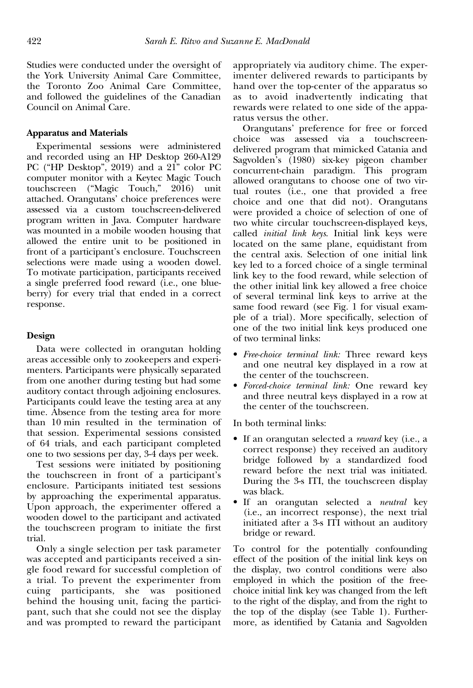Studies were conducted under the oversight of the York University Animal Care Committee, the Toronto Zoo Animal Care Committee, and followed the guidelines of the Canadian Council on Animal Care.

#### Apparatus and Materials

Experimental sessions were administered and recorded using an HP Desktop 260-A129 PC ("HP Desktop", 2019) and a 21" color PC computer monitor with a Keytec Magic Touch touchscreen ("Magic Touch," 2016) unit attached. Orangutans' choice preferences were assessed via a custom touchscreen-delivered program written in Java. Computer hardware was mounted in a mobile wooden housing that allowed the entire unit to be positioned in front of a participant's enclosure. Touchscreen selections were made using a wooden dowel. To motivate participation, participants received a single preferred food reward (i.e., one blueberry) for every trial that ended in a correct response.

#### Design

Data were collected in orangutan holding areas accessible only to zookeepers and experimenters. Participants were physically separated from one another during testing but had some auditory contact through adjoining enclosures. Participants could leave the testing area at any time. Absence from the testing area for more than 10 min resulted in the termination of that session. Experimental sessions consisted of 64 trials, and each participant completed one to two sessions per day, 3-4 days per week.

Test sessions were initiated by positioning the touchscreen in front of a participant's enclosure. Participants initiated test sessions by approaching the experimental apparatus. Upon approach, the experimenter offered a wooden dowel to the participant and activated the touchscreen program to initiate the first trial.

Only a single selection per task parameter was accepted and participants received a single food reward for successful completion of a trial. To prevent the experimenter from cuing participants, she was positioned behind the housing unit, facing the participant, such that she could not see the display and was prompted to reward the participant appropriately via auditory chime. The experimenter delivered rewards to participants by hand over the top-center of the apparatus so as to avoid inadvertently indicating that rewards were related to one side of the apparatus versus the other.

Orangutans' preference for free or forced choice was assessed via a touchscreendelivered program that mimicked Catania and Sagvolden's (1980) six-key pigeon chamber concurrent-chain paradigm. This program allowed orangutans to choose one of two virtual routes (i.e., one that provided a free choice and one that did not). Orangutans were provided a choice of selection of one of two white circular touchscreen-displayed keys, called initial link keys. Initial link keys were located on the same plane, equidistant from the central axis. Selection of one initial link key led to a forced choice of a single terminal link key to the food reward, while selection of the other initial link key allowed a free choice of several terminal link keys to arrive at the same food reward (see Fig. 1 for visual example of a trial). More specifically, selection of one of the two initial link keys produced one of two terminal links:

- Free-choice terminal link: Three reward keys and one neutral key displayed in a row at the center of the touchscreen.
- Forced-choice terminal link: One reward key and three neutral keys displayed in a row at the center of the touchscreen.

In both terminal links:

- If an orangutan selected a *reward* key (i.e., a correct response) they received an auditory bridge followed by a standardized food reward before the next trial was initiated. During the 3-s ITI, the touchscreen display was black.
- If an orangutan selected a *neutral* key (i.e., an incorrect response), the next trial initiated after a 3-s ITI without an auditory bridge or reward.

To control for the potentially confounding effect of the position of the initial link keys on the display, two control conditions were also employed in which the position of the freechoice initial link key was changed from the left to the right of the display, and from the right to the top of the display (see Table 1). Furthermore, as identified by Catania and Sagvolden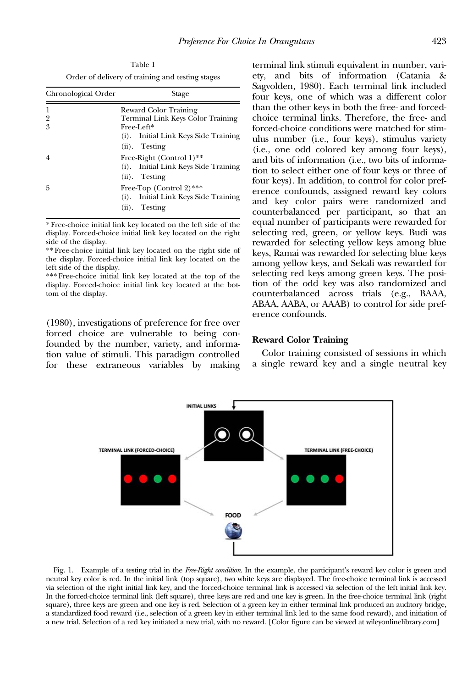Table 1 Order of delivery of training and testing stages

| Chronological Order | Stage                                                                                |  |  |
|---------------------|--------------------------------------------------------------------------------------|--|--|
| 1                   | Reward Color Training                                                                |  |  |
| $\overline{2}$      | <b>Terminal Link Keys Color Training</b>                                             |  |  |
| 3                   | Free-Left*<br>(i). Initial Link Keys Side Training<br>$(ii)$ . Testing               |  |  |
| $\overline{4}$      | Free-Right (Control 1)**<br>(i). Initial Link Keys Side Training<br>$(ii)$ . Testing |  |  |
| .5                  | Free-Top (Control 2)***<br>(i). Initial Link Keys Side Training<br>Testing<br>(ii).  |  |  |

\* Free-choice initial link key located on the left side of the display. Forced-choice initial link key located on the right side of the display.

\*\* Free-choice initial link key located on the right side of the display. Forced-choice initial link key located on the left side of the display.

\*\*\* Free-choice initial link key located at the top of the display. Forced-choice initial link key located at the bottom of the display.

(1980), investigations of preference for free over forced choice are vulnerable to being confounded by the number, variety, and information value of stimuli. This paradigm controlled for these extraneous variables by making terminal link stimuli equivalent in number, variety, and bits of information (Catania & Sagvolden, 1980). Each terminal link included four keys, one of which was a different color than the other keys in both the free- and forcedchoice terminal links. Therefore, the free- and forced-choice conditions were matched for stimulus number (i.e., four keys), stimulus variety (i.e., one odd colored key among four keys), and bits of information (i.e., two bits of information to select either one of four keys or three of four keys). In addition, to control for color preference confounds, assigned reward key colors and key color pairs were randomized and counterbalanced per participant, so that an equal number of participants were rewarded for selecting red, green, or yellow keys. Budi was rewarded for selecting yellow keys among blue keys, Ramai was rewarded for selecting blue keys among yellow keys, and Sekali was rewarded for selecting red keys among green keys. The position of the odd key was also randomized and counterbalanced across trials (e.g., BAAA, ABAA, AABA, or AAAB) to control for side preference confounds.

#### Reward Color Training

Color training consisted of sessions in which a single reward key and a single neutral key



Fig. 1. Example of a testing trial in the Free-Right condition. In the example, the participant's reward key color is green and neutral key color is red. In the initial link (top square), two white keys are displayed. The free-choice terminal link is accessed via selection of the right initial link key, and the forced-choice terminal link is accessed via selection of the left initial link key. In the forced-choice terminal link (left square), three keys are red and one key is green. In the free-choice terminal link (right square), three keys are green and one key is red. Selection of a green key in either terminal link produced an auditory bridge, a standardized food reward (i.e., selection of a green key in either terminal link led to the same food reward), and initiation of a new trial. Selection of a red key initiated a new trial, with no reward. [Color figure can be viewed at [wileyonlinelibrary.com](http://wileyonlinelibrary.com)]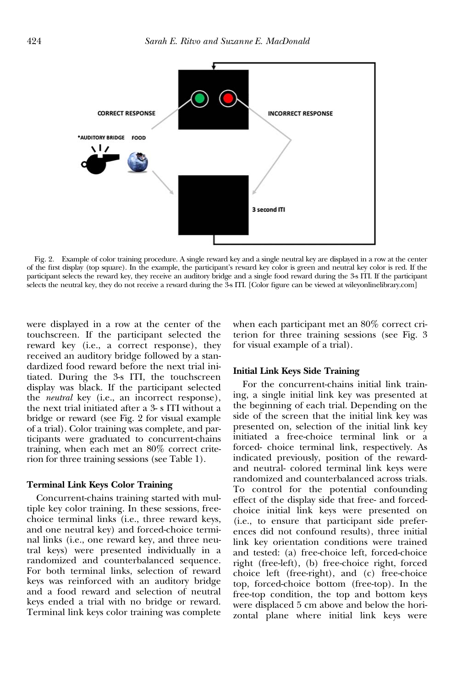

Fig. 2. Example of color training procedure. A single reward key and a single neutral key are displayed in a row at the center of the first display (top square). In the example, the participant's reward key color is green and neutral key color is red. If the participant selects the reward key, they receive an auditory bridge and a single food reward during the 3-s ITI. If the participant selects the neutral key, they do not receive a reward during the 3-s ITI. [Color figure can be viewed at [wileyonlinelibrary.com\]](http://wileyonlinelibrary.com)

were displayed in a row at the center of the touchscreen. If the participant selected the reward key (i.e., a correct response), they received an auditory bridge followed by a standardized food reward before the next trial initiated. During the 3-s ITI, the touchscreen display was black. If the participant selected the neutral key (i.e., an incorrect response), the next trial initiated after a 3- s ITI without a bridge or reward (see Fig. 2 for visual example of a trial). Color training was complete, and participants were graduated to concurrent-chains training, when each met an 80% correct criterion for three training sessions (see Table 1).

### Terminal Link Keys Color Training

Concurrent-chains training started with multiple key color training. In these sessions, freechoice terminal links (i.e., three reward keys, and one neutral key) and forced-choice terminal links (i.e., one reward key, and three neutral keys) were presented individually in a randomized and counterbalanced sequence. For both terminal links, selection of reward keys was reinforced with an auditory bridge and a food reward and selection of neutral keys ended a trial with no bridge or reward. Terminal link keys color training was complete when each participant met an 80% correct criterion for three training sessions (see Fig. 3 for visual example of a trial).

#### Initial Link Keys Side Training

For the concurrent-chains initial link training, a single initial link key was presented at the beginning of each trial. Depending on the side of the screen that the initial link key was presented on, selection of the initial link key initiated a free-choice terminal link or a forced- choice terminal link, respectively. As indicated previously, position of the rewardand neutral- colored terminal link keys were randomized and counterbalanced across trials. To control for the potential confounding effect of the display side that free- and forcedchoice initial link keys were presented on (i.e., to ensure that participant side preferences did not confound results), three initial link key orientation conditions were trained and tested: (a) free-choice left, forced-choice right (free-left), (b) free-choice right, forced choice left (free-right), and (c) free-choice top, forced-choice bottom (free-top). In the free-top condition, the top and bottom keys were displaced 5 cm above and below the horizontal plane where initial link keys were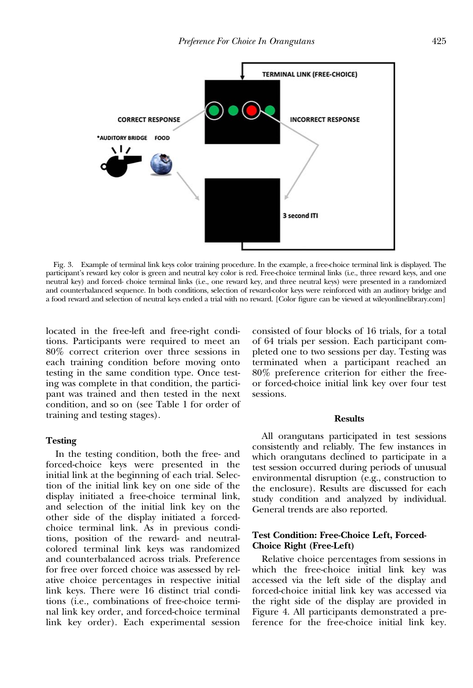

Fig. 3. Example of terminal link keys color training procedure. In the example, a free-choice terminal link is displayed. The participant's reward key color is green and neutral key color is red. Free-choice terminal links (i.e., three reward keys, and one neutral key) and forced- choice terminal links (i.e., one reward key, and three neutral keys) were presented in a randomized and counterbalanced sequence. In both conditions, selection of reward-color keys were reinforced with an auditory bridge and a food reward and selection of neutral keys ended a trial with no reward. [Color figure can be viewed at [wileyonlinelibrary.com](http://wileyonlinelibrary.com)]

located in the free-left and free-right conditions. Participants were required to meet an 80% correct criterion over three sessions in each training condition before moving onto testing in the same condition type. Once testing was complete in that condition, the participant was trained and then tested in the next condition, and so on (see Table 1 for order of training and testing stages).

### Testing

In the testing condition, both the free- and forced-choice keys were presented in the initial link at the beginning of each trial. Selection of the initial link key on one side of the display initiated a free-choice terminal link, and selection of the initial link key on the other side of the display initiated a forcedchoice terminal link. As in previous conditions, position of the reward- and neutralcolored terminal link keys was randomized and counterbalanced across trials. Preference for free over forced choice was assessed by relative choice percentages in respective initial link keys. There were 16 distinct trial conditions (i.e., combinations of free-choice terminal link key order, and forced-choice terminal link key order). Each experimental session consisted of four blocks of 16 trials, for a total of 64 trials per session. Each participant completed one to two sessions per day. Testing was terminated when a participant reached an 80% preference criterion for either the freeor forced-choice initial link key over four test sessions.

#### Results

All orangutans participated in test sessions consistently and reliably. The few instances in which orangutans declined to participate in a test session occurred during periods of unusual environmental disruption (e.g., construction to the enclosure). Results are discussed for each study condition and analyzed by individual. General trends are also reported.

## Test Condition: Free-Choice Left, Forced-Choice Right (Free-Left)

Relative choice percentages from sessions in which the free-choice initial link key was accessed via the left side of the display and forced-choice initial link key was accessed via the right side of the display are provided in Figure 4. All participants demonstrated a preference for the free-choice initial link key.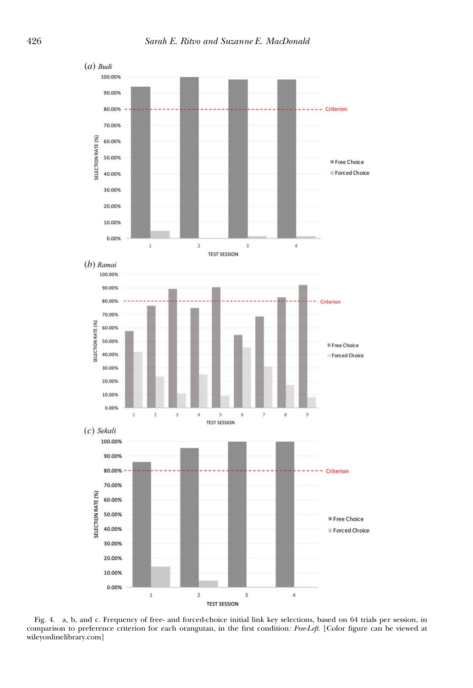

Fig. 4. a, b, and c. Frequency of free- and forced-choice initial link key selections, based on 64 trials per session, in comparison to preference criterion for each orangutan, in the first condition: Free-Left. [Color figure can be viewed at [wileyonlinelibrary.com\]](http://wileyonlinelibrary.com)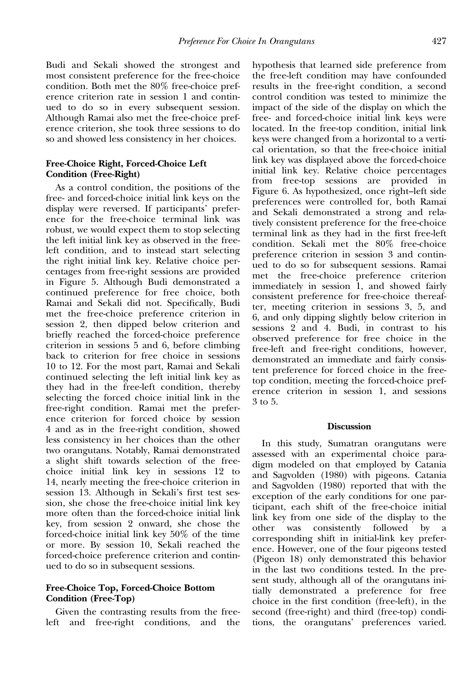Budi and Sekali showed the strongest and most consistent preference for the free-choice condition. Both met the 80% free-choice preference criterion rate in session 1 and continued to do so in every subsequent session. Although Ramai also met the free-choice preference criterion, she took three sessions to do so and showed less consistency in her choices.

## Free-Choice Right, Forced-Choice Left Condition (Free-Right)

As a control condition, the positions of the free- and forced-choice initial link keys on the display were reversed. If participants' preference for the free-choice terminal link was robust, we would expect them to stop selecting the left initial link key as observed in the freeleft condition, and to instead start selecting the right initial link key. Relative choice percentages from free-right sessions are provided in Figure 5. Although Budi demonstrated a continued preference for free choice, both Ramai and Sekali did not. Specifically, Budi met the free-choice preference criterion in session 2, then dipped below criterion and briefly reached the forced-choice preference criterion in sessions 5 and 6, before climbing back to criterion for free choice in sessions 10 to 12. For the most part, Ramai and Sekali continued selecting the left initial link key as they had in the free-left condition, thereby selecting the forced choice initial link in the free-right condition. Ramai met the preference criterion for forced choice by session 4 and as in the free-right condition, showed less consistency in her choices than the other two orangutans. Notably, Ramai demonstrated a slight shift towards selection of the freechoice initial link key in sessions 12 to 14, nearly meeting the free-choice criterion in session 13. Although in Sekali's first test session, she chose the free-choice initial link key more often than the forced-choice initial link key, from session 2 onward, she chose the forced-choice initial link key 50% of the time or more. By session 10, Sekali reached the forced-choice preference criterion and continued to do so in subsequent sessions.

### Free-Choice Top, Forced-Choice Bottom Condition (Free-Top)

Given the contrasting results from the freeleft and free-right conditions, and the hypothesis that learned side preference from the free-left condition may have confounded results in the free-right condition, a second control condition was tested to minimize the impact of the side of the display on which the free- and forced-choice initial link keys were located. In the free-top condition, initial link keys were changed from a horizontal to a vertical orientation, so that the free-choice initial link key was displayed above the forced-choice initial link key. Relative choice percentages from free-top sessions are provided in Figure 6. As hypothesized, once right–left side preferences were controlled for, both Ramai and Sekali demonstrated a strong and relatively consistent preference for the free-choice terminal link as they had in the first free-left condition. Sekali met the 80% free-choice preference criterion in session 3 and continued to do so for subsequent sessions. Ramai met the free-choice preference criterion immediately in session 1, and showed fairly consistent preference for free-choice thereafter, meeting criterion in sessions 3, 5, and 6, and only dipping slightly below criterion in sessions 2 and 4. Budi, in contrast to his observed preference for free choice in the free-left and free-right conditions, however, demonstrated an immediate and fairly consistent preference for forced choice in the freetop condition, meeting the forced-choice preference criterion in session 1, and sessions 3 to 5.

#### **Discussion**

In this study, Sumatran orangutans were assessed with an experimental choice paradigm modeled on that employed by Catania and Sagvolden (1980) with pigeons. Catania and Sagvolden (1980) reported that with the exception of the early conditions for one participant, each shift of the free-choice initial link key from one side of the display to the other was consistently followed by a corresponding shift in initial-link key preference. However, one of the four pigeons tested (Pigeon 18) only demonstrated this behavior in the last two conditions tested. In the present study, although all of the orangutans initially demonstrated a preference for free choice in the first condition (free-left), in the second (free-right) and third (free-top) conditions, the orangutans' preferences varied.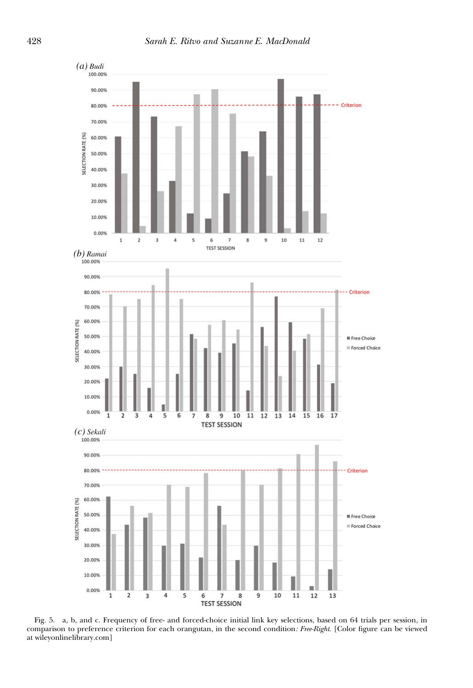

Fig. 5. a, b, and c. Frequency of free- and forced-choice initial link key selections, based on 64 trials per session, in comparison to preference criterion for each orangutan, in the second condition: Free-Right. [Color figure can be viewed at [wileyonlinelibrary.com\]](http://wileyonlinelibrary.com)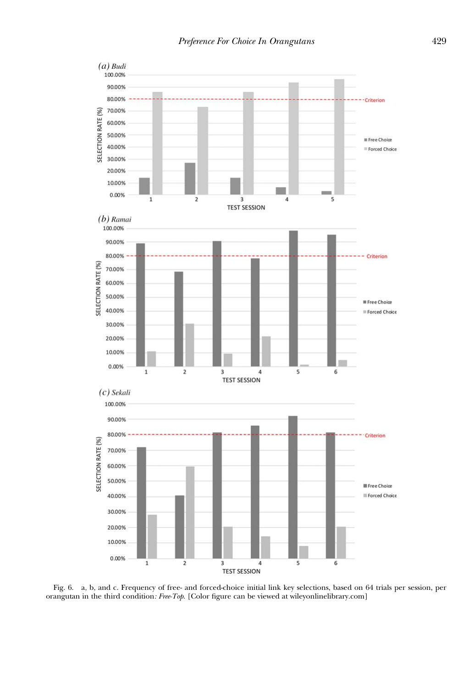

Fig. 6. a, b, and c. Frequency of free- and forced-choice initial link key selections, based on 64 trials per session, per orangutan in the third condition: Free-Top. [Color figure can be viewed at [wileyonlinelibrary.com\]](http://wileyonlinelibrary.com)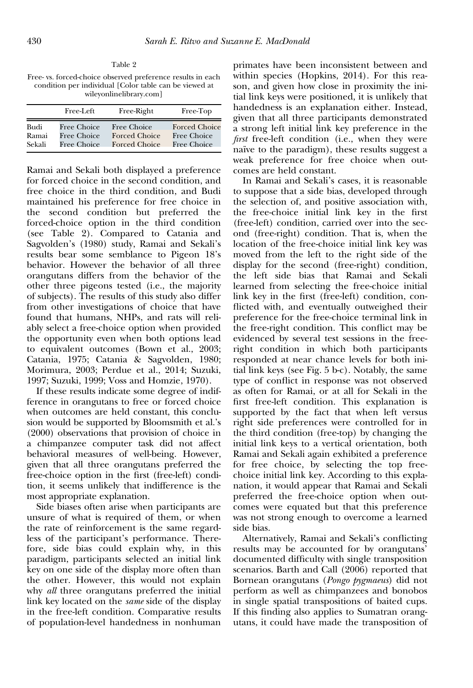Table 2 Free- vs. forced-choice observed preference results in each condition per individual [Color table can be viewed at [wileyonlinelibrary.com\]](http://wileyonlinelibrary.com)

|        | Free-Left   | Free-Right    | Free-Top             |
|--------|-------------|---------------|----------------------|
| Budi   | Free Choice | Free Choice   | <b>Forced Choice</b> |
| Ramai  | Free Choice | Forced Choice | Free Choice          |
| Sekali | Free Choice | Forced Choice | Free Choice          |

Ramai and Sekali both displayed a preference for forced choice in the second condition, and free choice in the third condition, and Budi maintained his preference for free choice in the second condition but preferred the forced-choice option in the third condition (see Table 2). Compared to Catania and Sagvolden's (1980) study, Ramai and Sekali's results bear some semblance to Pigeon 18's behavior. However the behavior of all three orangutans differs from the behavior of the other three pigeons tested (i.e., the majority of subjects). The results of this study also differ from other investigations of choice that have found that humans, NHPs, and rats will reliably select a free-choice option when provided the opportunity even when both options lead to equivalent outcomes (Bown et al., 2003; Catania, 1975; Catania & Sagvolden, 1980; Morimura, 2003; Perdue et al., 2014; Suzuki, 1997; Suzuki, 1999; Voss and Homzie, 1970).

If these results indicate some degree of indifference in orangutans to free or forced choice when outcomes are held constant, this conclusion would be supported by Bloomsmith et al.'s (2000) observations that provision of choice in a chimpanzee computer task did not affect behavioral measures of well-being. However, given that all three orangutans preferred the free-choice option in the first (free-left) condition, it seems unlikely that indifference is the most appropriate explanation.

Side biases often arise when participants are unsure of what is required of them, or when the rate of reinforcement is the same regardless of the participant's performance. Therefore, side bias could explain why, in this paradigm, participants selected an initial link key on one side of the display more often than the other. However, this would not explain why *all* three orangutans preferred the initial link key located on the same side of the display in the free-left condition. Comparative results of population-level handedness in nonhuman

primates have been inconsistent between and within species (Hopkins, 2014). For this reason, and given how close in proximity the initial link keys were positioned, it is unlikely that handedness is an explanation either. Instead, given that all three participants demonstrated a strong left initial link key preference in the first free-left condition (i.e., when they were naïve to the paradigm), these results suggest a weak preference for free choice when outcomes are held constant.

In Ramai and Sekali's cases, it is reasonable to suppose that a side bias, developed through the selection of, and positive association with, the free-choice initial link key in the first (free-left) condition, carried over into the second (free-right) condition. That is, when the location of the free-choice initial link key was moved from the left to the right side of the display for the second (free-right) condition, the left side bias that Ramai and Sekali learned from selecting the free-choice initial link key in the first (free-left) condition, conflicted with, and eventually outweighed their preference for the free-choice terminal link in the free-right condition. This conflict may be evidenced by several test sessions in the freeright condition in which both participants responded at near chance levels for both initial link keys (see Fig. 5 b-c). Notably, the same type of conflict in response was not observed as often for Ramai, or at all for Sekali in the first free-left condition. This explanation is supported by the fact that when left versus right side preferences were controlled for in the third condition (free-top) by changing the initial link keys to a vertical orientation, both Ramai and Sekali again exhibited a preference for free choice, by selecting the top freechoice initial link key. According to this explanation, it would appear that Ramai and Sekali preferred the free-choice option when outcomes were equated but that this preference was not strong enough to overcome a learned side bias.

Alternatively, Ramai and Sekali's conflicting results may be accounted for by orangutans' documented difficulty with single transposition scenarios. Barth and Call (2006) reported that Bornean orangutans (Pongo pygmaeus) did not perform as well as chimpanzees and bonobos in single spatial transpositions of baited cups. If this finding also applies to Sumatran orangutans, it could have made the transposition of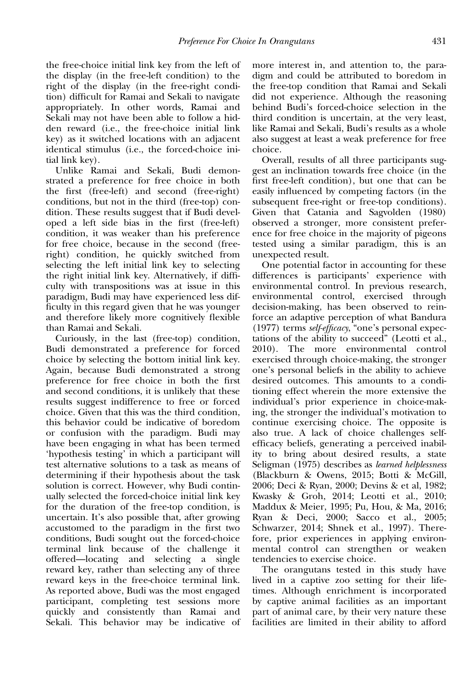the free-choice initial link key from the left of the display (in the free-left condition) to the right of the display (in the free-right condition) difficult for Ramai and Sekali to navigate appropriately. In other words, Ramai and Sekali may not have been able to follow a hidden reward (i.e., the free-choice initial link key) as it switched locations with an adjacent identical stimulus (i.e., the forced-choice initial link key).

Unlike Ramai and Sekali, Budi demonstrated a preference for free choice in both the first (free-left) and second (free-right) conditions, but not in the third (free-top) condition. These results suggest that if Budi developed a left side bias in the first (free-left) condition, it was weaker than his preference for free choice, because in the second (freeright) condition, he quickly switched from selecting the left initial link key to selecting the right initial link key. Alternatively, if difficulty with transpositions was at issue in this paradigm, Budi may have experienced less difficulty in this regard given that he was younger and therefore likely more cognitively flexible than Ramai and Sekali.

Curiously, in the last (free-top) condition, Budi demonstrated a preference for forced choice by selecting the bottom initial link key. Again, because Budi demonstrated a strong preference for free choice in both the first and second conditions, it is unlikely that these results suggest indifference to free or forced choice. Given that this was the third condition, this behavior could be indicative of boredom or confusion with the paradigm. Budi may have been engaging in what has been termed 'hypothesis testing' in which a participant will test alternative solutions to a task as means of determining if their hypothesis about the task solution is correct. However, why Budi continually selected the forced-choice initial link key for the duration of the free-top condition, is uncertain. It's also possible that, after growing accustomed to the paradigm in the first two conditions, Budi sought out the forced-choice terminal link because of the challenge it offered—locating and selecting a single reward key, rather than selecting any of three reward keys in the free-choice terminal link. As reported above, Budi was the most engaged participant, completing test sessions more quickly and consistently than Ramai and Sekali. This behavior may be indicative of more interest in, and attention to, the paradigm and could be attributed to boredom in the free-top condition that Ramai and Sekali did not experience. Although the reasoning behind Budi's forced-choice selection in the third condition is uncertain, at the very least, like Ramai and Sekali, Budi's results as a whole also suggest at least a weak preference for free choice.

Overall, results of all three participants suggest an inclination towards free choice (in the first free-left condition), but one that can be easily influenced by competing factors (in the subsequent free-right or free-top conditions). Given that Catania and Sagvolden (1980) observed a stronger, more consistent preference for free choice in the majority of pigeons tested using a similar paradigm, this is an unexpected result.

One potential factor in accounting for these differences is participants' experience with environmental control. In previous research, environmental control, exercised through decision-making, has been observed to reinforce an adaptive perception of what Bandura (1977) terms self-efficacy, "one's personal expectations of the ability to succeed" (Leotti et al., 2010). The more environmental control exercised through choice-making, the stronger one's personal beliefs in the ability to achieve desired outcomes. This amounts to a conditioning effect wherein the more extensive the individual's prior experience in choice-making, the stronger the individual's motivation to continue exercising choice. The opposite is also true. A lack of choice challenges selfefficacy beliefs, generating a perceived inability to bring about desired results, a state Seligman (1975) describes as learned helplessness (Blackburn & Owens, 2015; Botti & McGill, 2006; Deci & Ryan, 2000; Devins & et al, 1982; Kwasky & Groh, 2014; Leotti et al., 2010; Maddux & Meier, 1995; Pu, Hou, & Ma, 2016; Ryan & Deci, 2000; Sacco et al., 2005; Schwarzer, 2014; Shnek et al., 1997). Therefore, prior experiences in applying environmental control can strengthen or weaken tendencies to exercise choice.

The orangutans tested in this study have lived in a captive zoo setting for their lifetimes. Although enrichment is incorporated by captive animal facilities as an important part of animal care, by their very nature these facilities are limited in their ability to afford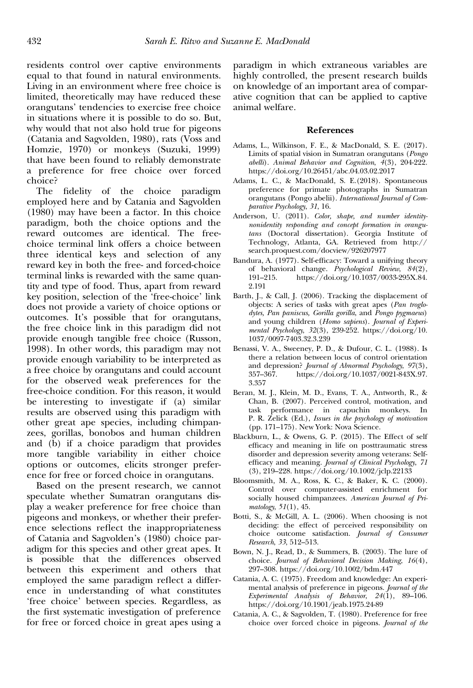residents control over captive environments equal to that found in natural environments. Living in an environment where free choice is limited, theoretically may have reduced these orangutans' tendencies to exercise free choice in situations where it is possible to do so. But, why would that not also hold true for pigeons (Catania and Sagvolden, 1980), rats (Voss and Homzie, 1970) or monkeys (Suzuki, 1999) that have been found to reliably demonstrate a preference for free choice over forced choice?

The fidelity of the choice paradigm employed here and by Catania and Sagvolden (1980) may have been a factor. In this choice paradigm, both the choice options and the reward outcomes are identical. The freechoice terminal link offers a choice between three identical keys and selection of any reward key in both the free- and forced-choice terminal links is rewarded with the same quantity and type of food. Thus, apart from reward key position, selection of the 'free-choice' link does not provide a variety of choice options or outcomes. It's possible that for orangutans, the free choice link in this paradigm did not provide enough tangible free choice (Russon, 1998). In other words, this paradigm may not provide enough variability to be interpreted as a free choice by orangutans and could account for the observed weak preferences for the free-choice condition. For this reason, it would be interesting to investigate if (a) similar results are observed using this paradigm with other great ape species, including chimpanzees, gorillas, bonobos and human children and (b) if a choice paradigm that provides more tangible variability in either choice options or outcomes, elicits stronger preference for free or forced choice in orangutans.

Based on the present research, we cannot speculate whether Sumatran orangutans display a weaker preference for free choice than pigeons and monkeys, or whether their preference selections reflect the inappropriateness of Catania and Sagvolden's (1980) choice paradigm for this species and other great apes. It is possible that the differences observed between this experiment and others that employed the same paradigm reflect a difference in understanding of what constitutes 'free choice' between species. Regardless, as the first systematic investigation of preference for free or forced choice in great apes using a paradigm in which extraneous variables are highly controlled, the present research builds on knowledge of an important area of comparative cognition that can be applied to captive animal welfare.

#### References

- Adams, L., Wilkinson, F. E., & MacDonald, S. E. (2017). Limits of spatial vision in Sumatran orangutans (Pongo abelli). Animal Behavior and Cognition, 4(3), 204-222. <https://doi.org/10.26451/abc.04.03.02.2017>
- Adams, L. C., & MacDonald, S. E.(2018). Spontaneous preference for primate photographs in Sumatran orangutans (Pongo abelii). International Journal of Comparative Psychology, 31, 16.
- Anderson, U. (2011). Color, shape, and number identitynonidentity responding and concept formation in orangutans (Doctoral dissertation). Georgia Institute of Technology, Atlanta, GA. Retrieved from [http://](http://search.proquest.com/docview/926207977) [search.proquest.com/docview/926207977](http://search.proquest.com/docview/926207977)
- Bandura, A. (1977). Self-efficacy: Toward a unifying theory of behavioral change. Psychological Review, 84(2), 191–215. [https://doi.org/10.1037/0033-295X.84.](https://doi.org/10.1037/0033-295X.84.2.191) [2.191](https://doi.org/10.1037/0033-295X.84.2.191)
- Barth, J., & Call, J. (2006). Tracking the displacement of objects: A series of tasks with great apes (Pan troglodytes, Pan paniscus, Gorilla gorilla, and Pongo pygmaeus) and young children (Homo sapiens). Journal of Experimental Psychology, 32(3), 239-252. [https://doi.org/10.](https://doi.org/10.1037/0097-7403.32.3.239) [1037/0097-7403.32.3.239](https://doi.org/10.1037/0097-7403.32.3.239)
- Benassi, V. A., Sweeney, P. D., & Dufour, C. L. (1988). Is there a relation between locus of control orientation and depression? Journal of Abnormal Psychology, 97(3), 357-367. https://doi.org/10.1037/0021-843X.97. https://doi.org/10.1037/0021-843X.97. [3.357](https://doi.org/10.1037/0021-843X.97.3.357)
- Beran, M. J., Klein, M. D., Evans, T. A., Antworth, R., & Chan, B. (2007). Perceived control, motivation, and task performance in capuchin monkeys. In P. R. Zelick (Ed.), Issues in the psychology of motivation (pp. 171–175). New York: Nova Science.
- Blackburn, L., & Owens, G. P. (2015). The Effect of self efficacy and meaning in life on posttraumatic stress disorder and depression severity among veterans: Selfefficacy and meaning. Journal of Clinical Psychology, 71 (3), 219–228.<https://doi.org/10.1002/jclp.22133>
- Bloomsmith, M. A., Ross, K. C., & Baker, K. C. (2000). Control over computer-assisted enrichment for socially housed chimpanzees. American Journal of Primatology,  $51(1)$ , 45.
- Botti, S., & McGill, A. L. (2006). When choosing is not deciding: the effect of perceived responsibility on choice outcome satisfaction. Journal of Consumer Research, 33, 512–513.
- Bown, N. J., Read, D., & Summers, B. (2003). The lure of choice. Journal of Behavioral Decision Making, 16(4), 297–308.<https://doi.org/10.1002/bdm.447>
- Catania, A. C. (1975). Freedom and knowledge: An experimental analysis of preference in pigeons. Journal of the Experimental Analysis of Behavior, 24(1), 89–106. <https://doi.org/10.1901/jeab.1975.24-89>
- Catania, A. C., & Sagvolden, T. (1980). Preference for free choice over forced choice in pigeons. Journal of the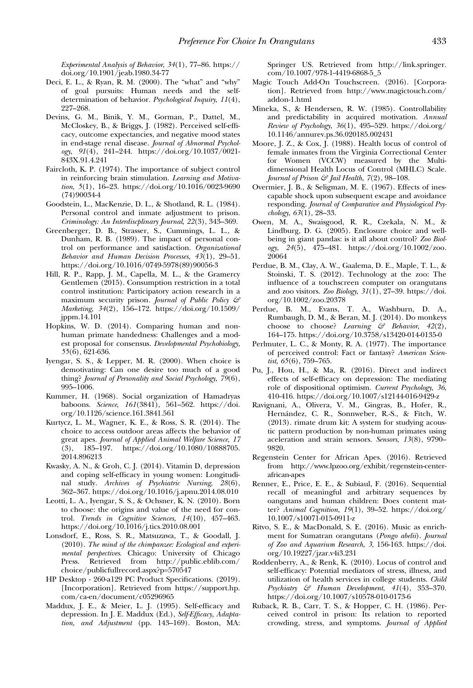Experimental Analysis of Behavior, 34(1), 77–86. [https://](https://doi.org/10.1901/jeab.1980.34-77) [doi.org/10.1901/jeab.1980.34-77](https://doi.org/10.1901/jeab.1980.34-77)

- Deci, E. L., & Ryan, R. M. (2000). The "what" and "why" of goal pursuits: Human needs and the selfdetermination of behavior. Psychological Inquiry, 11(4), 227–268.
- Devins, G. M., Binik, Y. M., Gorman, P., Dattel, M., McCloskey, B., & Briggs, J. (1982). Perceived self-efficacy, outcome expectancies, and negative mood states in end-stage renal disease. Journal of Abnormal Psychology, 91(4), 241–244. [https://doi.org/10.1037/0021-](https://doi.org/10.1037/0021-843X.91.4.241) [843X.91.4.241](https://doi.org/10.1037/0021-843X.91.4.241)
- Faircloth, K. P. (1974). The importance of subject control in reinforcing brain stimulation. Learning and Motivation, 5(1), 16–23.<https://doi.org/10.1016/0023-9690> (74)90034-4
- Goodstein, L., MacKenzie, D. L., & Shotland, R. L. (1984). Personal control and inmate adjustment to prison. Criminology: An Interdiscplinary Journal, 22(3), 343–369.
- Greenberger, D. B., Strasser, S., Cummings, L. L., & Dunham, R. B. (1989). The impact of personal control on performance and satisfaction. Organizational Behavior and Human Decision Processes, 43(1), 29–51. <https://doi.org/10.1016/0749-5978>(89)90056-3
- Hill, R. P., Rapp, J. M., Capella, M. L., & the Gramercy Gentlemen (2015). Consumption restriction in a total control institution: Participatory action research in a maximum security prison. Journal of Public Policy & Marketing, 34(2), 156–172. [https://doi.org/10.1509/](https://doi.org/10.1509/jppm.14.101) [jppm.14.101](https://doi.org/10.1509/jppm.14.101)
- Hopkins, W. D. (2014). Comparing human and nonhuman primate handedness: Challenges and a modest proposal for consensus. Developmental Psychobiology, 55(6), 621-636.
- Iyengar, S. S., & Lepper, M. R. (2000). When choice is demotivating: Can one desire too much of a good thing? Journal of Personality and Social Psychology, 79(6), 995–1006.
- Kummer, H. (1968). Social organization of Hamadryas baboons. Science, 161(3841), 561–562. [https://doi.](https://doi.org/10.1126/science.161.3841.561) [org/10.1126/science.161.3841.561](https://doi.org/10.1126/science.161.3841.561)
- Kurtycz, L. M., Wagner, K. E., & Ross, S. R. (2014). The choice to access outdoor areas affects the behavior of great apes. Journal of Applied Animal Welfare Science, 17 (3), 185–197. [https://doi.org/10.1080/10888705.](https://doi.org/10.1080/10888705.2014.896213) [2014.896213](https://doi.org/10.1080/10888705.2014.896213)
- Kwasky, A. N., & Groh, C. J. (2014). Vitamin D, depression and coping self-efficacy in young women: Longitudinal study. Archives of Psychiatric Nursing, 28(6), 362–367.<https://doi.org/10.1016/j.apnu.2014.08.010>
- Leotti, L. A., Iyengar, S. S., & Ochsner, K. N. (2010). Born to choose: the origins and value of the need for control. Trends in Cognitive Sciences,  $14(10)$ ,  $457-463$ . <https://doi.org/10.1016/j.tics.2010.08.001>
- Lonsdorf, E., Ross, S. R., Matsuzawa, T., & Goodall, J. (2010). The mind of the chimpanzee: Ecological and experimental perspectives. Chicago: University of Chicago Press. Retrieved from [http://public.eblib.com/](http://public.eblib.com/choice/publicfullrecord.aspx?p=570547) [choice/publicfullrecord.aspx?p=570547](http://public.eblib.com/choice/publicfullrecord.aspx?p=570547)
- HP Desktop 260-a129 PC Product Specifications. (2019). [Incorporation]. Retrieved from [https://support.hp.](https://support.hp.com/ca-en/document/c05296965) [com/ca-en/document/c05296965](https://support.hp.com/ca-en/document/c05296965)
- Maddux, J. E., & Meier, L. J. (1995). Self-efficacy and depression. In J. E. Maddux (Ed.), Self-Efficacy, Adaptation, and Adjustment (pp. 143–169). Boston, MA:

Springer US. Retrieved from [http://link.springer.](http://link.springer.com/10.1007/978-1-4419-6868-5_5) [com/10.1007/978-1-4419-6868-5\\_5](http://link.springer.com/10.1007/978-1-4419-6868-5_5)

- Magic Touch Add-On Touchscreen. (2016). [Corporation]. Retrieved from [http://www.magictouch.com/](http://www.magictouch.com/addon-1.html) [addon-1.html](http://www.magictouch.com/addon-1.html)
- Mineka, S., & Hendersen, R. W. (1985). Controllability and predictability in acquired motivation. Annual Review of Psychology, 36(1), 495–529. [https://doi.org/](https://doi.org/10.1146/annurev.ps.36.020185.002431) [10.1146/annurev.ps.36.020185.002431](https://doi.org/10.1146/annurev.ps.36.020185.002431)
- Moore, J. Z., & Cox, J. (1988). Health locus of control of female inmates from the Virginia Correctional Center for Women (VCCW) measured by the Multidimensional Health Locus of Control (MHLC) Scale. Journal of Prison & Jail Health, 7(2), 98-108.
- Overmier, J. B., & Seligman, M. E. (1967). Effects of inescapable shock upon subsequent escape and avoidance responding. Journal of Comparative and Physiological Psy $chology, 63(1), 28-33.$
- Owen, M. A., Swaisgood, R. R., Czekala, N. M., & Lindburg, D. G. (2005). Enclosure choice and wellbeing in giant pandas: is it all about control? Zoo Biology, 24(5), 475–481. [https://doi.org/10.1002/zoo.](https://doi.org/10.1002/zoo.20064) [20064](https://doi.org/10.1002/zoo.20064)
- Perdue, B. M., Clay, A. W., Gaalema, D. E., Maple, T. L., & Stoinski, T. S. (2012). Technology at the zoo: The influence of a touchscreen computer on orangutans and zoo visitors. Zoo Biology, 31(1), 27–39. [https://doi.](https://doi.org/10.1002/zoo.20378) [org/10.1002/zoo.20378](https://doi.org/10.1002/zoo.20378)
- Perdue, B. M., Evans, T. A., Washburn, D. A., Rumbaugh, D. M., & Beran, M. J. (2014). Do monkeys choose to choose? Learning  $\mathcal{E}$  Behavior, 42(2), 164–175.<https://doi.org/10.3758/s13420-014-0135-0>
- Perlmuter, L. C., & Monty, R. A. (1977). The importance of perceived control: Fact or fantasy? American Scientist, 65(6), 759–765.
- Pu, J., Hou, H., & Ma, R. (2016). Direct and indirect effects of self-efficacy on depression: The mediating role of dispositional optimism. Current Psychology, 36, 410-416.<https://doi.org/10.1007/s12144-016-9429-z>
- Ravignani, A., Olivera, V. M., Gingras, B., Hofer, R., Hernández, C. R., Sonnweber, R.-S., & Fitch, W. (2013). rimate drum kit: A system for studying acoustic pattern production by non-human primates using aceleration and strain sensors. Sensors, 13(8), 9790– 9820.
- Regenstein Center for African Apes. (2016). Retrieved from [http://www.lpzoo.org/exhibit/regenstein-center](http://www.lpzoo.org/exhibit/regenstein-center-african-apes)[african-apes](http://www.lpzoo.org/exhibit/regenstein-center-african-apes)
- Renner, E., Price, E. E., & Subiaul, F. (2016). Sequential recall of meaningful and arbitrary sequences by oangutans and human children: Does content matter? Animal Cognition, 19(1), 39–52. [https://doi.org/](https://doi.org/10.1007/s10071-015-0911-z) [10.1007/s10071-015-0911-z](https://doi.org/10.1007/s10071-015-0911-z)
- Ritvo, S. E., & MacDonald, S. E. (2016). Music as enrichment for Sumatran orangutans (Pongo abelii). Journal of Zoo and Aquarium Research, 3, 156-163. [https://doi.](https://doi.org/10.19227/jzar.v4i3.231) [org/10.19227/jzar.v4i3.231](https://doi.org/10.19227/jzar.v4i3.231)
- Roddenberry, A., & Renk, K. (2010). Locus of control and self-efficacy: Potential mediators of stress, illness, and utilization of health services in college students. Child Psychiatry  $\mathcal{E}$  Human Development, 41(4), 353-370. <https://doi.org/10.1007/s10578-010-0173-6>
- Ruback, R. B., Carr, T. S., & Hopper, C. H. (1986). Perceived control in prison: Its relation to reported crowding, stress, and symptoms. Journal of Applied